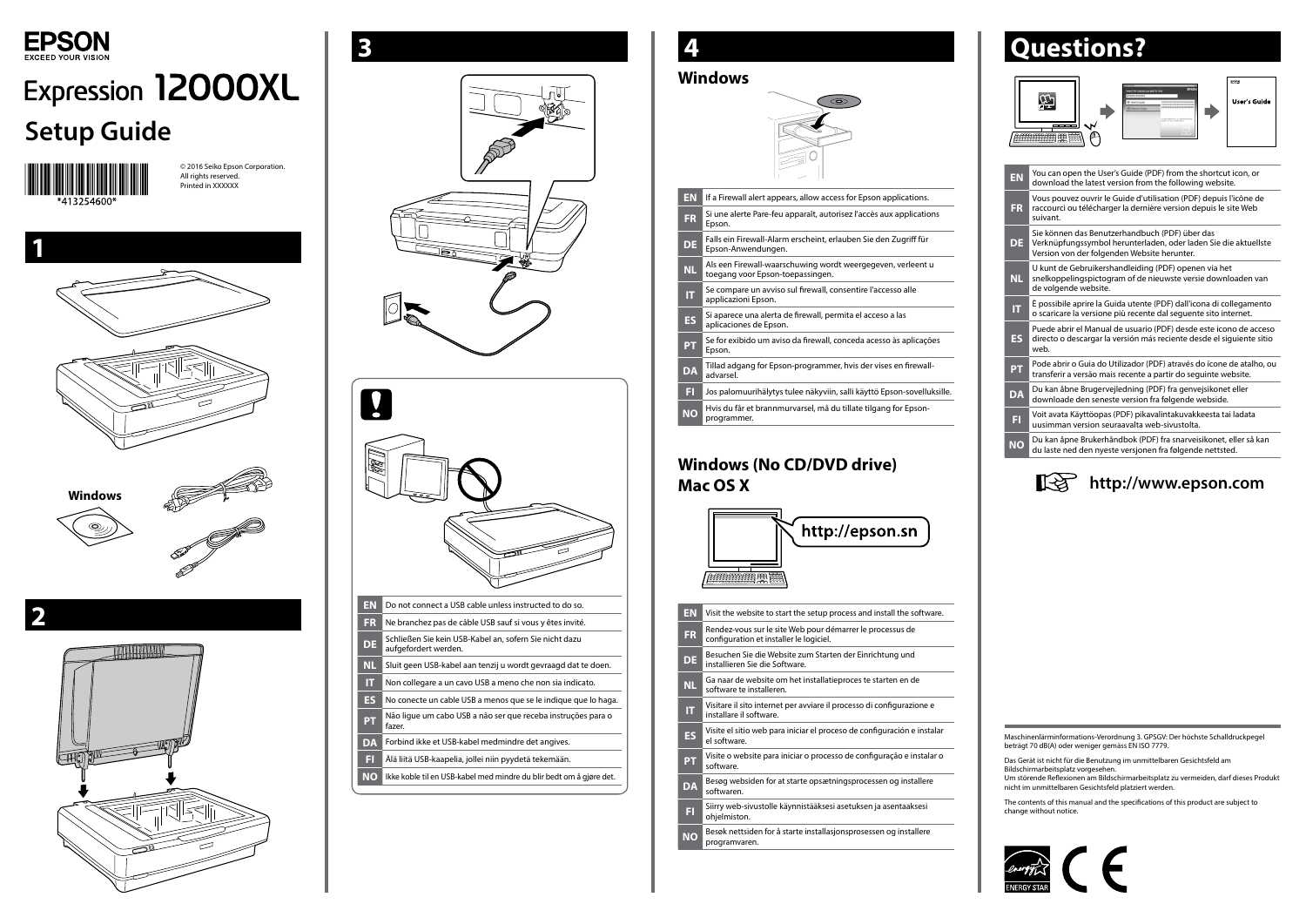

# **Expression 12000XL Setup Guide**



© 2016 Seiko Epson Corporation. All rights reserved. Printed in XXXXXX



**2**



### **Windows (No CD/DVD drive) Mac OS X**

## **Questions?**









**NO** Ikke koble til en USB-kabel med mindre du blir bedt om å gjøre det.

#### **Windows EN** If a Firewall alert appears, allow access for Epson applications. **FR** Si une alerte Pare-feu apparaît, autorisez l'accès aux applications Epson. **DE** Falls ein Firewall-Alarm erscheint, erlauben Sie den Zugriff für Epson-Anwendungen. **NL** Als een Firewall-waarschuwing wordt weergegeven, verleent u toegang voor Epson-toepassingen. **IT** Se compare un avviso sul firewall, consentire l'accesso alle applicazioni Epson. **ES** Si aparece una alerta de firewall, permita el acceso a las aplicaciones de Epson. **PT** Se for exibido um aviso da firewall, conceda acesso às aplicações Epson. **DA** Tillad adgang for Epson-programmer, hvis der vises en firewalladvarsel. **FI** Jos palomuurihälytys tulee näkyviin, salli käyttö Epson-sovelluksille. **NO** Hvis du får et brannmurvarsel, må du tillate tilgang for Epsonprogrammer.

| EN        | You can open the User's Guide (PDF) from the shortcut icon, or<br>download the latest version from the following website.                                        |
|-----------|------------------------------------------------------------------------------------------------------------------------------------------------------------------|
| <b>FR</b> | Vous pouvez ouvrir le Guide d'utilisation (PDF) depuis l'icône de<br>raccourci ou télécharger la dernière version depuis le site Web<br>suivant.                 |
| DE.       | Sie können das Benutzerhandbuch (PDF) über das<br>Verknüpfungssymbol herunterladen, oder laden Sie die aktuellste<br>Version von der folgenden Website herunter. |
| NL.       | U kunt de Gebruikershandleiding (PDF) openen via het<br>snelkoppelingspictogram of de nieuwste versie downloaden van<br>de volgende website.                     |
| ΙT        | È possibile aprire la Guida utente (PDF) dall'icona di collegamento<br>o scaricare la versione più recente dal sequente sito internet.                           |
| <b>ES</b> | Puede abrir el Manual de usuario (PDF) desde este icono de acceso<br>directo o descargar la versión más reciente desde el siguiente sitio<br>web.                |
| <b>PT</b> | Pode abrir o Guia do Utilizador (PDF) através do ícone de atalho, ou<br>transferir a versão mais recente a partir do seguinte website.                           |
| <b>DA</b> | Du kan åbne Brugervejledning (PDF) fra genvejsikonet eller<br>downloade den seneste version fra følgende webside.                                                |
| FI        | Voit avata Käyttöopas (PDF) pikavalintakuvakkeesta tai ladata<br>uusimman version seuraavalta web-sivustolta.                                                    |
| <b>NO</b> | Du kan åpne Brukerhåndbok (PDF) fra snarveisikonet, eller så kan<br>du laste ned den nyeste versjonen fra følgende nettsted.                                     |
|           |                                                                                                                                                                  |

| http://epson.sn<br>חריי<br>學 |                                                                                                      |  |  |
|------------------------------|------------------------------------------------------------------------------------------------------|--|--|
| <b>EN</b>                    | Visit the website to start the setup process and install the software.                               |  |  |
| <b>FR</b>                    | Rendez-vous sur le site Web pour démarrer le processus de<br>configuration et installer le logiciel. |  |  |
| <b>DE</b>                    | Besuchen Sie die Website zum Starten der Einrichtung und<br>installieren Sie die Software.           |  |  |
| <b>NL</b>                    | Ga naar de website om het installatieproces te starten en de<br>software te installeren.             |  |  |
| π                            | Visitare il sito internet per avviare il processo di configurazione e<br>installare il software.     |  |  |
| <b>ES</b>                    | Visite el sitio web para iniciar el proceso de configuración e instalar<br>el software.              |  |  |
| $\overline{\mathsf{PT}}$     | Visite o website para iniciar o processo de configuração e instalar o<br>software.                   |  |  |
| <b>DA</b>                    | Besøg websiden for at starte opsætningsprocessen og installere<br>softwaren.                         |  |  |
| ET                           | Siirry web-sivustolle käynnistääksesi asetuksen ja asentaaksesi<br>ohjelmiston.                      |  |  |
| ΝO                           | Besøk nettsiden for å starte installasjonsprosessen og installere<br>programvaren.                   |  |  |

The contents of this manual and the specifications of this product are subject to change without notice.



Maschinenlärminformations-Verordnung 3. GPSGV: Der höchste Schalldruckpegel beträgt 70 dB(A) oder weniger gemäss EN ISO 7779.

Das Gerät ist nicht für die Benutzung im unmittelbaren Gesichtsfeld am Bildschirmarbeitsplatz vorgesehen. Um störende Reflexionen am Bildschirmarbeitsplatz zu vermeiden, darf dieses Produkt

nicht im unmittelbaren Gesichtsfeld platziert werden.